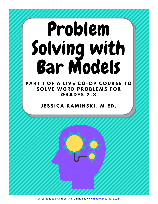# Problem Solving with<br>Bar Models

PART 1 OF A LIVE CO-OP COURSE TO **SOLVE WORD PROBLEMS FOR GRADES 2-3** 

**JESSICA KAMINSKI, M.ED.** 

All content belongs to Jessica Kaminski at [www.mathwithpurpose.com](http://www.mathwithpurpose.com/)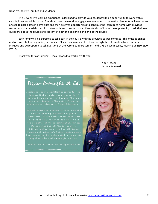Dear Prospective Families and Students,

This 3-week live learning experience is designed to provide your student with an opportunity to work with a certified teacher while making friends all over the world to engage in meaningful mathematics. Students will meet once a week to participate in a live class and then be given opportunities to continue the learning at home with provided resources and materials specific to standards and their textbook. Parents also will have the opportunity to ask their own questions about the course and content at both the beginning and end of the course.

Each family will be expected to take part in the course with the provided course contract. This must be signed and returned before beginning the course. Please take a moment to look through the information to see what all is included and be prepared to ask questions at the Parent Support Session held LIVE on Wednesday, March 2 at 1:30-2:00 PM EST.

Thank you for considering! I look forward to working with you!

Your Teacher, Jessica Kaminski

# Jezzica Kaminzki, M. Ed.

Jessica has been a certified educator for over bachelor's degree in Elementary Education and a master's degree in Gifted Education.

classrooms. As the author of the 2020 Math in Focus Third Grade Teacher's Edition and Mathematics 2nd-5th Grade Teacher's

way that make math meaningful and fun.

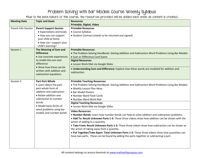## Problem Solving with Bar Models Course Weekly Syllabus

\*Due to the beta nature of this course, the resources provided will be added each week as content is created.

| <b>Meeting Date</b> | <b>Topic and Goals</b>                                                                                                                                                 | <b>Resources</b>                                                                                |
|---------------------|------------------------------------------------------------------------------------------------------------------------------------------------------------------------|-------------------------------------------------------------------------------------------------|
|                     |                                                                                                                                                                        | Printable, Digital, Video                                                                       |
| Parent Info Session | <b>Parent Support Session</b>                                                                                                                                          | <b>Printable Resources</b>                                                                      |
|                     | • Expectations and Goals                                                                                                                                               | • Course Syllabus                                                                               |
|                     | • How you can support                                                                                                                                                  | • Student Contract (needs to be returned and signed)                                            |
|                     | your child at home                                                                                                                                                     |                                                                                                 |
|                     | • How can I support your                                                                                                                                               |                                                                                                 |
|                     | child's learning?                                                                                                                                                      |                                                                                                 |
| Session 1           | The Meaning of Sum and                                                                                                                                                 | <b>Printable Resources:</b>                                                                     |
|                     | <b>Difference</b><br>· Use concrete experiences<br>to model the sum and<br>difference<br>• Show how these can be<br>written with addition and<br>subtraction equations | • The Problem Solving Handbook: Solving Addition and Subtraction Word Problems Using Bar Models |
|                     |                                                                                                                                                                        | • Sum or Difference Card Game                                                                   |
|                     |                                                                                                                                                                        | <b>Digital Resources:</b>                                                                       |
|                     |                                                                                                                                                                        | • Lesson Work Mat via Google Slides                                                             |
|                     |                                                                                                                                                                        | . Understanding Sum and Difference: Explore how these words are modeled for addition and        |
|                     |                                                                                                                                                                        | subtraction.                                                                                    |
|                     |                                                                                                                                                                        |                                                                                                 |
| Session 2           | <b>Part-Part-Whole</b>                                                                                                                                                 | <b>Printable Teaching Resources:</b>                                                            |
|                     | • Learn about the part-                                                                                                                                                | . The Problem Solving Handbook: Solving Addition and Subtraction Word Problems Using Bar Models |
|                     | part-whole form of                                                                                                                                                     | · Weekly Lesson Plan ideas                                                                      |
|                     | addition and subtraction                                                                                                                                               | • Bar Model Posters                                                                             |
|                     | • Relate addition and<br>subtraction to number<br>bonds<br>• Model basic forms of<br>word problems using bar<br>models and number bonds                                | • Number Bond Flash Cards                                                                       |
|                     |                                                                                                                                                                        | • Number Bond Work Mat                                                                          |
|                     |                                                                                                                                                                        | <b>Digital Teaching Resources:</b>                                                              |
|                     |                                                                                                                                                                        | • Lesson Work Mat via Google Slides                                                             |
|                     |                                                                                                                                                                        | <b>Video Resources:</b>                                                                         |
|                     |                                                                                                                                                                        | . Number Bonds: Learn how number bonds can help to solve addition and subtraction problems.     |
|                     |                                                                                                                                                                        | . Add To: Result Unknown Parts 1-3: These three videos show how addition can be shown with the  |
|                     |                                                                                                                                                                        | action of adding to a quantity.                                                                 |
|                     |                                                                                                                                                                        | . Take From: Result Unknown Parts 1-3: These three videos show how subtraction can be shown as  |
|                     |                                                                                                                                                                        | the action of taking away from a quantity.                                                      |
|                     |                                                                                                                                                                        | . Put Together/Take Apart: Total Unknown Parts 1-3: These three videos show how quantities can  |
|                     |                                                                                                                                                                        | have two parts. These can be found by adding the parts together or subtracting a part.          |
|                     |                                                                                                                                                                        |                                                                                                 |
|                     |                                                                                                                                                                        |                                                                                                 |
|                     |                                                                                                                                                                        |                                                                                                 |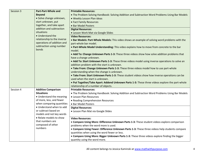| Session 3 | <b>Part-Part-Whole and</b>   | <b>Printable Resources:</b>                                                                      |
|-----------|------------------------------|--------------------------------------------------------------------------------------------------|
|           | <b>Beyond</b>                | . The Problem Solving Handbook: Solving Addition and Subtraction Word Problems Using Bar Models  |
|           | · Solve change unknown,      | . Weekly Lesson Plan ideas                                                                       |
|           | start unknown, put           | • Fact Family Resources                                                                          |
|           | together, and take apart     | • Bar Model Posters                                                                              |
|           | addition and subtraction     | <b>Digital Resources:</b>                                                                        |
|           | situations                   | • Lesson Work Mat via Google Slides                                                              |
|           | • Understand the             | <b>Video Resources:</b>                                                                          |
|           | relationship to the inverse  | • Bar Models: Part-Whole Models: This video shows an example of solving word problems with the   |
|           | operations of addition and   | part-whole bar model.                                                                            |
|           | subtraction using number     | . Part-Whole Model Understanding: This video explains how to move from concrete to the bar       |
|           | bonds                        | model.                                                                                           |
|           |                              | . Add To: Change Unknown Parts 1-3: These three videos show how solve addition problems that     |
|           |                              | have a change unknown.                                                                           |
|           |                              | . Add To: Start Unknown Parts 1-3: These three videos model using inverse operations to solve an |
|           |                              | addition problem with the start is unknown.                                                      |
|           |                              | . Take From: Change Unknown Parts 1-3: These three videos model how to use part-whole            |
|           |                              | understanding when the change is unknown.                                                        |
|           |                              | . Take From: Start Unknown Parts 1-3: These student videos show how inverse operations can be    |
|           |                              | used when the start is unknown.                                                                  |
|           |                              | . Put Together/Take Apart: Addend Unknown Parts 1-3: These three videos explore the part-whole   |
|           |                              | relationship of a number of objects.                                                             |
| Session 4 | <b>Additive Comparison</b>   | <b>Printable Resources:</b>                                                                      |
|           | <b>Situations</b>            | . The Problem Solving Handbook: Solving Addition and Subtraction Word Problems Using Bar Models  |
|           | • Understand the meaning     | • Lesson Plan Resources                                                                          |
|           | of more, less, and fewer     | • Reading Comprehension Resources                                                                |
|           | when comparing quantities    | • Bar Model Posters                                                                              |
|           | • Understand when to add     | <b>Digital Resources:</b>                                                                        |
|           | or subtract based on         | · Lesson Plan Mat via Google Slides                                                              |
|           | models and not key words     |                                                                                                  |
|           | • Relate models to show      | <b>Video Resources:</b>                                                                          |
|           | that numbers are             | • Compare Using More: Difference Unknown Parts 1-3: These student videos explore comparison      |
|           | composed of other<br>numbers | problems when the word more is used.                                                             |
|           |                              | • Compare Using Fewer: Difference Unknown Parts 1-3: These three videos help students compare    |
|           |                              | quantities when using the word fewer or less.                                                    |
|           |                              | • Compare Using More: Bigger Unknown Parts 1-3: These three videos explore finding the bigger    |
|           |                              | quantity using the word more.                                                                    |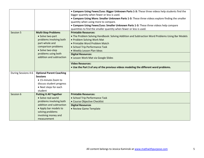|                     |                                                                                                                                                                                           | . Compare Using Fewer/Less: Bigger Unknown Parts 1-3: These three videos help students find the<br>bigger quantity when fewer or less is used.<br>. Compare Using More: Smaller Unknown Parts 1-3: These three videos explore finding the smaller<br>quantity when using more to compare.<br>• Compare Using Fewer/Less: Smaller Unknown Parts 1-3: These three videos help compare                                                                   |
|---------------------|-------------------------------------------------------------------------------------------------------------------------------------------------------------------------------------------|-------------------------------------------------------------------------------------------------------------------------------------------------------------------------------------------------------------------------------------------------------------------------------------------------------------------------------------------------------------------------------------------------------------------------------------------------------|
|                     |                                                                                                                                                                                           | quantities to find the smaller quantity when fewer or less is used.                                                                                                                                                                                                                                                                                                                                                                                   |
| Session 5           | <b>Multi-Step Problems</b><br>• Solve two-part<br>problems involving both<br>part-whole and<br>comparison problems<br>• Solve two-step<br>problems using both<br>addition and subtraction | <b>Printable Resources:</b><br>. The Problem Solving Handbook: Solving Addition and Subtraction Word Problems Using Bar Models<br>• Problem Solving Work Mat<br>• Printable Word Problem Match<br>• School Trip Performance Task<br>. Weekly Lesson Plan Ideas<br><b>Digital Resources:</b><br>• Lesson Work Mat via Google Slides<br><b>Video Resources:</b><br>. Use the Part 3 of any of the previous videos modeling the different word problems. |
| During Sessions 4-6 | <b>Optional Parent Coaching</b>                                                                                                                                                           |                                                                                                                                                                                                                                                                                                                                                                                                                                                       |
|                     | <b>Sessions</b>                                                                                                                                                                           |                                                                                                                                                                                                                                                                                                                                                                                                                                                       |
|                     | • 15-minute Zoom to                                                                                                                                                                       |                                                                                                                                                                                                                                                                                                                                                                                                                                                       |
|                     | discuss student progress                                                                                                                                                                  |                                                                                                                                                                                                                                                                                                                                                                                                                                                       |
|                     | • Next steps for each<br>student                                                                                                                                                          |                                                                                                                                                                                                                                                                                                                                                                                                                                                       |
| Session 6           | <b>Putting It All Together</b><br>• Solve real-world<br>problems involving both<br>addition and subtraction                                                                               | <b>Printable Resources:</b><br>• School Trip Performance Task<br>• Course Objective Checklist<br><b>Digital Resources</b>                                                                                                                                                                                                                                                                                                                             |
|                     | • Apply bar models to<br>solving problems<br>involving money and<br>measurement                                                                                                           | • Review Game Template                                                                                                                                                                                                                                                                                                                                                                                                                                |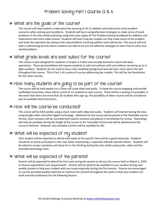# Problem Solving Part 1 Course Q & A

#### What are the goals of the course?

This course will help students understand the meaning of all 15 addition and subtraction word problem scenarios when solving word problems. Students will learn comprehension strategies to make sense of word problems in the class while practicing using their own copies of The Problem Solving Handbook for Addition and Subtraction with extra video lessons. Students will learn how bar models can help make sense of the problem and show the operation by solving multi-step problems involving addition and subtraction. The course will end with a culminating activity where students are able to try out the different strategies to learn how to solve realworld problems.

#### What grade levels are best suited for the course?

This course is best designed for students in Grades 2-3 who have already learned to work with basic operations. These word problems will require students to add and subtract with and without renaming up to 4 digit numbers. Students do not need to have a bar modeling background and will learn more about the skill throughout the course. This is Part 1 of a series of courses addressing bar models. This will lay the foundation for the other courses.

## How many students are going to be part of the course?

The course will be held weekly via a Zoom call using video and audio. To keep the course engaging and provide scaffolded instruction, there will be a limit of 12 students to each course. There will be a waiting list provided. In the event that there are more than 20 students who sign up, the possibility of other courses will be considered due to available time/instructors.

#### How will the course be conducted?

The course will be held weekly using a Zoom room with video and audio. Students will interact during the class using Google slides and other digital technology. Materials for the course will be placed in the Teachable course format. Zoom sessions will be recorded (with parent consent) and placed in the Module for review. Recordings will only be available during the length of the course in the Teachable format and will be deleted once the course is finished. However, the printable content will be available for life.

## What will be expected of my student?

Each student will be expected to attend each week at the specific time and be a good classmate. Students should be an active participant in the class while maintaining a respectful attitude towards others. Students will be asked to answer questions and show his or her thinking during the class while using audio, video and the provided technology tools.

# What will be expected of the parents?

Parents will be expected to attend the first meet and greet session to discuss the course held on March 2, 2022 to discuss expectations and requirements. Parents will be asked to be available to your student during each weekly session to help your student with any issues especially during the first session. Parents are encouraged to use the provided weekly materials to continue the content throughout the week so that your student can work towards proficiency for the following lessons.